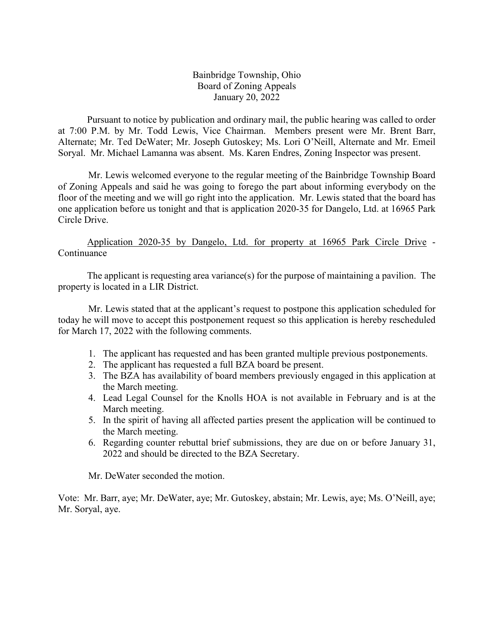Bainbridge Township, Ohio Board of Zoning Appeals January 20, 2022

Pursuant to notice by publication and ordinary mail, the public hearing was called to order at 7:00 P.M. by Mr. Todd Lewis, Vice Chairman. Members present were Mr. Brent Barr, Alternate; Mr. Ted DeWater; Mr. Joseph Gutoskey; Ms. Lori O'Neill, Alternate and Mr. Emeil Soryal. Mr. Michael Lamanna was absent. Ms. Karen Endres, Zoning Inspector was present.

Mr. Lewis welcomed everyone to the regular meeting of the Bainbridge Township Board of Zoning Appeals and said he was going to forego the part about informing everybody on the floor of the meeting and we will go right into the application. Mr. Lewis stated that the board has one application before us tonight and that is application 2020-35 for Dangelo, Ltd. at 16965 Park Circle Drive.

Application 2020-35 by Dangelo, Ltd. for property at 16965 Park Circle Drive - Continuance

The applicant is requesting area variance(s) for the purpose of maintaining a pavilion. The property is located in a LIR District.

Mr. Lewis stated that at the applicant's request to postpone this application scheduled for today he will move to accept this postponement request so this application is hereby rescheduled for March 17, 2022 with the following comments.

- 1. The applicant has requested and has been granted multiple previous postponements.
- 2. The applicant has requested a full BZA board be present.
- 3. The BZA has availability of board members previously engaged in this application at the March meeting.
- 4. Lead Legal Counsel for the Knolls HOA is not available in February and is at the March meeting.
- 5. In the spirit of having all affected parties present the application will be continued to the March meeting.
- 6. Regarding counter rebuttal brief submissions, they are due on or before January 31, 2022 and should be directed to the BZA Secretary.

Mr. DeWater seconded the motion.

Vote: Mr. Barr, aye; Mr. DeWater, aye; Mr. Gutoskey, abstain; Mr. Lewis, aye; Ms. O'Neill, aye; Mr. Soryal, aye.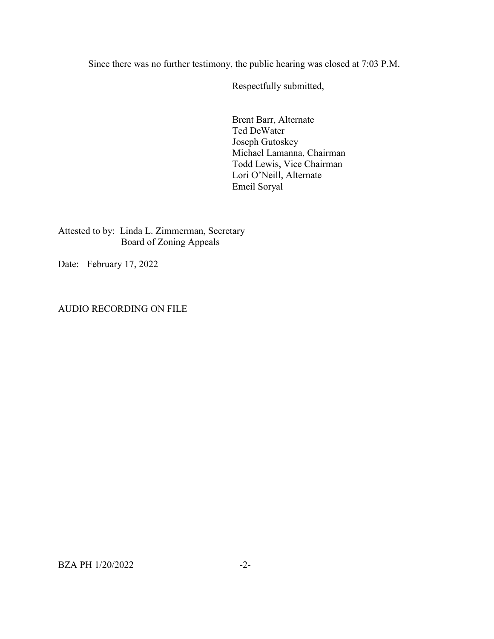Since there was no further testimony, the public hearing was closed at 7:03 P.M.

Respectfully submitted,

Brent Barr, Alternate Ted DeWater Joseph Gutoskey Michael Lamanna, Chairman Todd Lewis, Vice Chairman Lori O'Neill, Alternate Emeil Soryal

Attested to by: Linda L. Zimmerman, Secretary Board of Zoning Appeals

Date: February 17, 2022

AUDIO RECORDING ON FILE

BZA PH 1/20/2022 -2-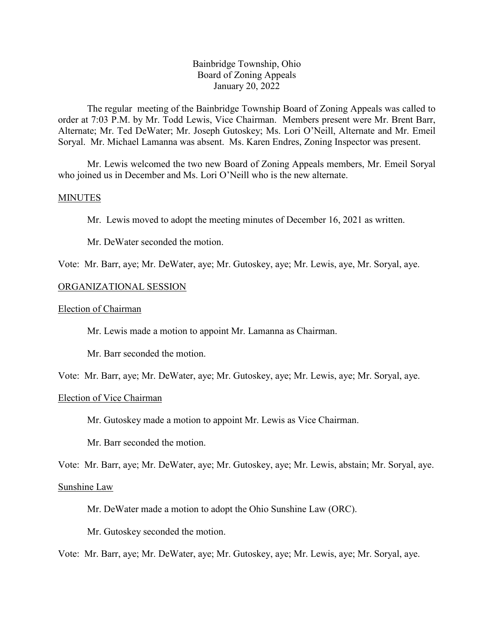## Bainbridge Township, Ohio Board of Zoning Appeals January 20, 2022

The regular meeting of the Bainbridge Township Board of Zoning Appeals was called to order at 7:03 P.M. by Mr. Todd Lewis, Vice Chairman. Members present were Mr. Brent Barr, Alternate; Mr. Ted DeWater; Mr. Joseph Gutoskey; Ms. Lori O'Neill, Alternate and Mr. Emeil Soryal. Mr. Michael Lamanna was absent. Ms. Karen Endres, Zoning Inspector was present.

Mr. Lewis welcomed the two new Board of Zoning Appeals members, Mr. Emeil Soryal who joined us in December and Ms. Lori O'Neill who is the new alternate.

#### MINUTES

Mr. Lewis moved to adopt the meeting minutes of December 16, 2021 as written.

Mr. DeWater seconded the motion.

Vote: Mr. Barr, aye; Mr. DeWater, aye; Mr. Gutoskey, aye; Mr. Lewis, aye, Mr. Soryal, aye.

### ORGANIZATIONAL SESSION

#### Election of Chairman

Mr. Lewis made a motion to appoint Mr. Lamanna as Chairman.

Mr. Barr seconded the motion.

Vote: Mr. Barr, aye; Mr. DeWater, aye; Mr. Gutoskey, aye; Mr. Lewis, aye; Mr. Soryal, aye.

## Election of Vice Chairman

Mr. Gutoskey made a motion to appoint Mr. Lewis as Vice Chairman.

Mr. Barr seconded the motion.

Vote: Mr. Barr, aye; Mr. DeWater, aye; Mr. Gutoskey, aye; Mr. Lewis, abstain; Mr. Soryal, aye.

#### Sunshine Law

Mr. DeWater made a motion to adopt the Ohio Sunshine Law (ORC).

Mr. Gutoskey seconded the motion.

Vote: Mr. Barr, aye; Mr. DeWater, aye; Mr. Gutoskey, aye; Mr. Lewis, aye; Mr. Soryal, aye.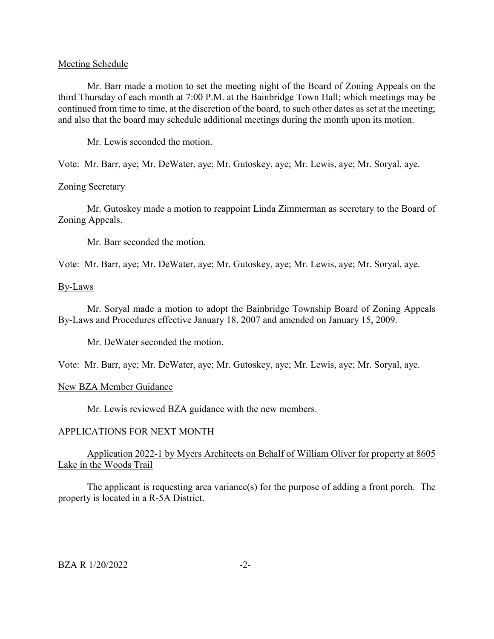#### Meeting Schedule

Mr. Barr made a motion to set the meeting night of the Board of Zoning Appeals on the third Thursday of each month at 7:00 P.M. at the Bainbridge Town Hall; which meetings may be continued from time to time, at the discretion of the board, to such other dates as set at the meeting; and also that the board may schedule additional meetings during the month upon its motion.

Mr. Lewis seconded the motion.

Vote: Mr. Barr, aye; Mr. DeWater, aye; Mr. Gutoskey, aye; Mr. Lewis, aye; Mr. Soryal, aye.

### Zoning Secretary

Mr. Gutoskey made a motion to reappoint Linda Zimmerman as secretary to the Board of Zoning Appeals.

Mr. Barr seconded the motion.

Vote: Mr. Barr, aye; Mr. DeWater, aye; Mr. Gutoskey, aye; Mr. Lewis, aye; Mr. Soryal, aye.

#### By-Laws

Mr. Soryal made a motion to adopt the Bainbridge Township Board of Zoning Appeals By-Laws and Procedures effective January 18, 2007 and amended on January 15, 2009.

Mr. DeWater seconded the motion.

Vote: Mr. Barr, aye; Mr. DeWater, aye; Mr. Gutoskey, aye; Mr. Lewis, aye; Mr. Soryal, aye.

#### New BZA Member Guidance

Mr. Lewis reviewed BZA guidance with the new members.

### APPLICATIONS FOR NEXT MONTH

## Application 2022-1 by Myers Architects on Behalf of William Oliver for property at 8605 Lake in the Woods Trail

The applicant is requesting area variance(s) for the purpose of adding a front porch. The property is located in a R-5A District.

#### $BZA \ R \ 1/20/2022$   $-2$ -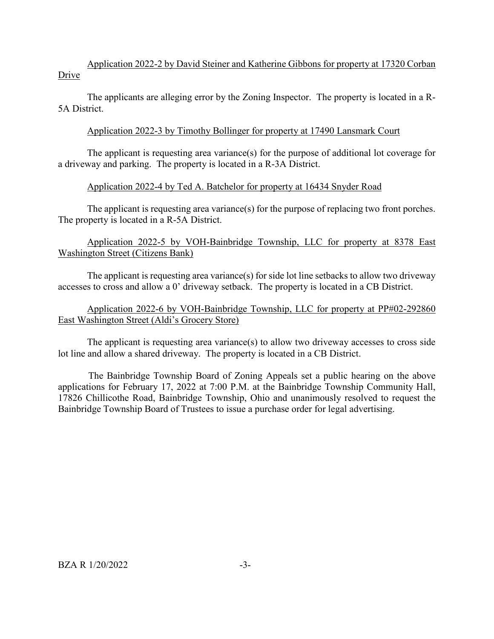Application 2022-2 by David Steiner and Katherine Gibbons for property at 17320 Corban Drive

The applicants are alleging error by the Zoning Inspector. The property is located in a R-5A District.

## Application 2022-3 by Timothy Bollinger for property at 17490 Lansmark Court

The applicant is requesting area variance(s) for the purpose of additional lot coverage for a driveway and parking. The property is located in a R-3A District.

## Application 2022-4 by Ted A. Batchelor for property at 16434 Snyder Road

The applicant is requesting area variance(s) for the purpose of replacing two front porches. The property is located in a R-5A District.

# Application 2022-5 by VOH-Bainbridge Township, LLC for property at 8378 East Washington Street (Citizens Bank)

The applicant is requesting area variance(s) for side lot line setbacks to allow two driveway accesses to cross and allow a 0' driveway setback. The property is located in a CB District.

# Application 2022-6 by VOH-Bainbridge Township, LLC for property at PP#02-292860 East Washington Street (Aldi's Grocery Store)

The applicant is requesting area variance(s) to allow two driveway accesses to cross side lot line and allow a shared driveway. The property is located in a CB District.

The Bainbridge Township Board of Zoning Appeals set a public hearing on the above applications for February 17, 2022 at 7:00 P.M. at the Bainbridge Township Community Hall, 17826 Chillicothe Road, Bainbridge Township, Ohio and unanimously resolved to request the Bainbridge Township Board of Trustees to issue a purchase order for legal advertising.